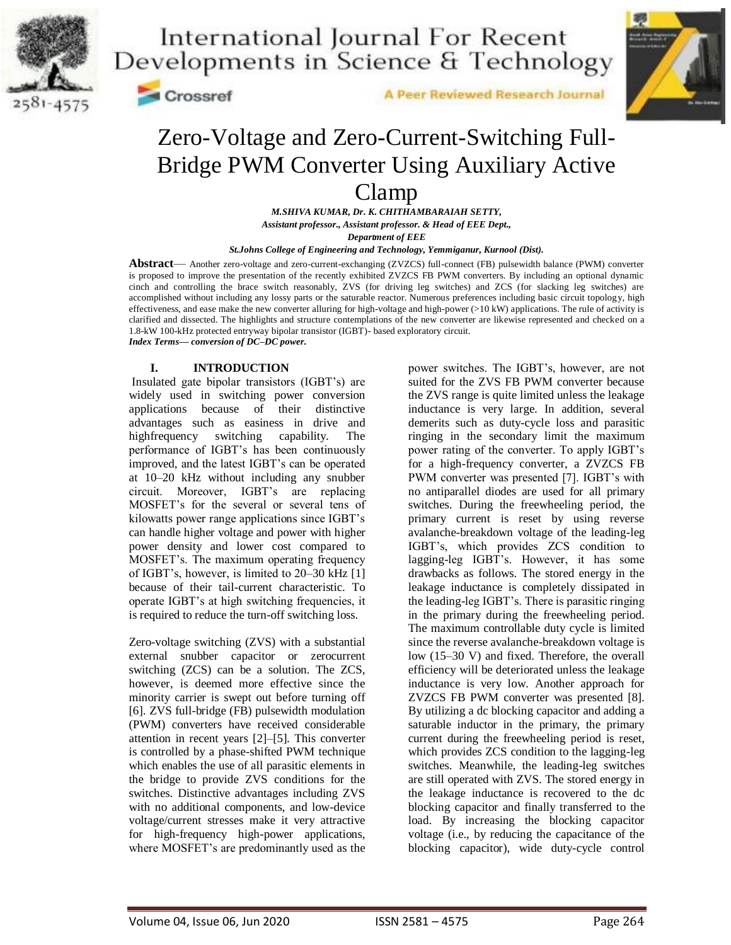



# Zero-Voltage and Zero-Current-Switching Full-Bridge PWM Converter Using Auxiliary Active

### Clamp

*M.SHIVA KUMAR, Dr. K. CHITHAMBARAIAH SETTY, Assistant professor., Assistant professor. & Head of EEE Dept., Department of EEE*

*St.Johns College of Engineering and Technology, Yemmiganur, Kurnool (Dist).*

**Abstract**— Another zero-voltage and zero-current-exchanging (ZVZCS) full-connect (FB) pulsewidth balance (PWM) converter is proposed to improve the presentation of the recently exhibited ZVZCS FB PWM converters. By including an optional dynamic cinch and controlling the brace switch reasonably, ZVS (for driving leg switches) and ZCS (for slacking leg switches) are accomplished without including any lossy parts or the saturable reactor. Numerous preferences including basic circuit topology, high effectiveness, and ease make the new converter alluring for high-voltage and high-power (>10 kW) applications. The rule of activity is clarified and dissected. The highlights and structure contemplations of the new converter are likewise represented and checked on a 1.8-kW 100-kHz protected entryway bipolar transistor (IGBT)- based exploratory circuit. *Index Terms— conversion of DC–DC power.*

#### **I. INTRODUCTION**

Crossref

Insulated gate bipolar transistors (IGBT's) are widely used in switching power conversion applications because of their distinctive advantages such as easiness in drive and highfrequency switching capability. The performance of IGBT's has been continuously improved, and the latest IGBT's can be operated at 10–20 kHz without including any snubber circuit. Moreover, IGBT's are replacing MOSFET's for the several or several tens of kilowatts power range applications since IGBT's can handle higher voltage and power with higher power density and lower cost compared to MOSFET's. The maximum operating frequency of IGBT's, however, is limited to 20–30 kHz [1] because of their tail-current characteristic. To operate IGBT's at high switching frequencies, it is required to reduce the turn-off switching loss.

Zero-voltage switching (ZVS) with a substantial external snubber capacitor or zerocurrent switching (ZCS) can be a solution. The ZCS, however, is deemed more effective since the minority carrier is swept out before turning off [6]. ZVS full-bridge (FB) pulsewidth modulation (PWM) converters have received considerable attention in recent years [2]–[5]. This converter is controlled by a phase-shifted PWM technique which enables the use of all parasitic elements in the bridge to provide ZVS conditions for the switches. Distinctive advantages including ZVS with no additional components, and low-device voltage/current stresses make it very attractive for high-frequency high-power applications, where MOSFET's are predominantly used as the

power switches. The IGBT's, however, are not suited for the ZVS FB PWM converter because the ZVS range is quite limited unless the leakage inductance is very large. In addition, several demerits such as duty-cycle loss and parasitic ringing in the secondary limit the maximum power rating of the converter. To apply IGBT's for a high-frequency converter, a ZVZCS FB PWM converter was presented [7]. IGBT's with no antiparallel diodes are used for all primary switches. During the freewheeling period, the primary current is reset by using reverse avalanche-breakdown voltage of the leading-leg IGBT's, which provides ZCS condition to lagging-leg IGBT's. However, it has some drawbacks as follows. The stored energy in the leakage inductance is completely dissipated in the leading-leg IGBT's. There is parasitic ringing in the primary during the freewheeling period. The maximum controllable duty cycle is limited since the reverse avalanche-breakdown voltage is low (15–30 V) and fixed. Therefore, the overall efficiency will be deteriorated unless the leakage inductance is very low. Another approach for ZVZCS FB PWM converter was presented [8]. By utilizing a dc blocking capacitor and adding a saturable inductor in the primary, the primary current during the freewheeling period is reset, which provides ZCS condition to the lagging-leg switches. Meanwhile, the leading-leg switches are still operated with ZVS. The stored energy in the leakage inductance is recovered to the dc blocking capacitor and finally transferred to the load. By increasing the blocking capacitor voltage (i.e., by reducing the capacitance of the blocking capacitor), wide duty-cycle control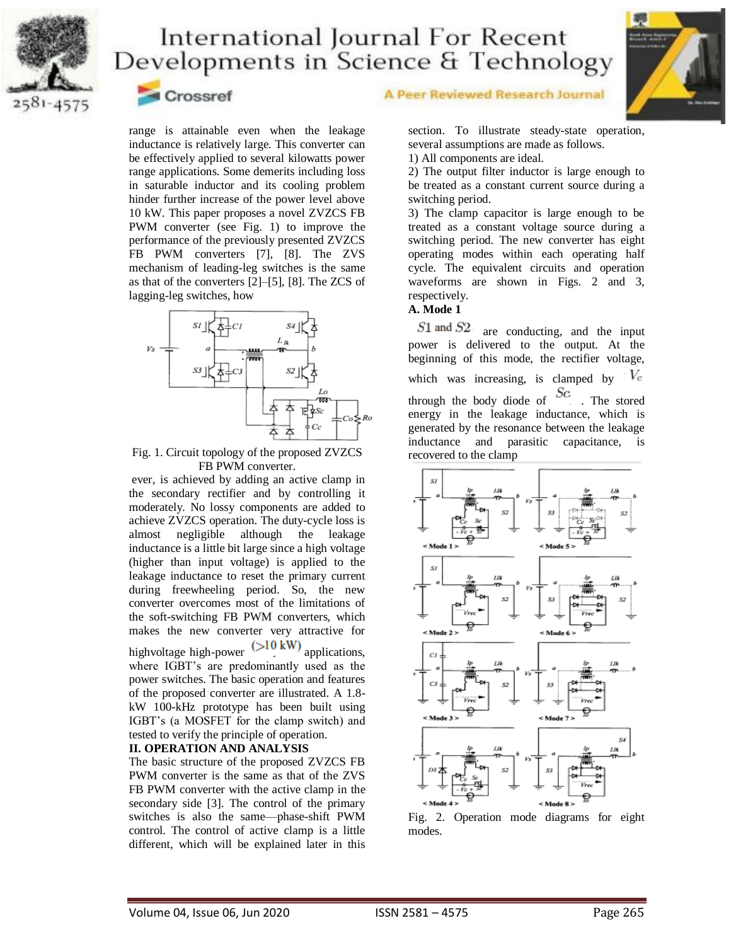



Crossref

range is attainable even when the leakage inductance is relatively large. This converter can be effectively applied to several kilowatts power range applications. Some demerits including loss in saturable inductor and its cooling problem hinder further increase of the power level above 10 kW. This paper proposes a novel ZVZCS FB PWM converter (see Fig. 1) to improve the performance of the previously presented ZVZCS FB PWM converters [7], [8]. The ZVS mechanism of leading-leg switches is the same as that of the converters [2]–[5], [8]. The ZCS of lagging-leg switches, how



Fig. 1. Circuit topology of the proposed ZVZCS FB PWM converter.

ever, is achieved by adding an active clamp in the secondary rectifier and by controlling it moderately. No lossy components are added to achieve ZVZCS operation. The duty-cycle loss is almost negligible although the leakage inductance is a little bit large since a high voltage (higher than input voltage) is applied to the leakage inductance to reset the primary current during freewheeling period. So, the new converter overcomes most of the limitations of the soft-switching FB PWM converters, which makes the new converter very attractive for highvoltage high-power  $(>10 \text{ kW})$  applications, where IGBT's are predominantly used as the power switches. The basic operation and features of the proposed converter are illustrated. A 1.8 kW 100-kHz prototype has been built using IGBT's (a MOSFET for the clamp switch) and

#### tested to verify the principle of operation. **II. OPERATION AND ANALYSIS**

The basic structure of the proposed ZVZCS FB PWM converter is the same as that of the ZVS FB PWM converter with the active clamp in the secondary side [3]. The control of the primary switches is also the same—phase-shift PWM control. The control of active clamp is a little different, which will be explained later in this

### **A Peer Reviewed Research Journal**

section. To illustrate steady-state operation, several assumptions are made as follows.

1) All components are ideal.

2) The output filter inductor is large enough to be treated as a constant current source during a switching period.

3) The clamp capacitor is large enough to be treated as a constant voltage source during a switching period. The new converter has eight operating modes within each operating half cycle. The equivalent circuits and operation waveforms are shown in Figs. 2 and 3, respectively.

### **A. Mode 1**

 $S1$  and  $S2$  are conducting, and the input power is delivered to the output. At the beginning of this mode, the rectifier voltage,  $V_c$ which was increasing, is clamped by through the body diode of  $\overline{SC}$ . The stored energy in the leakage inductance, which is generated by the resonance between the leakage inductance and parasitic capacitance, is recovered to the clamp



Fig. 2. Operation mode diagrams for eight modes.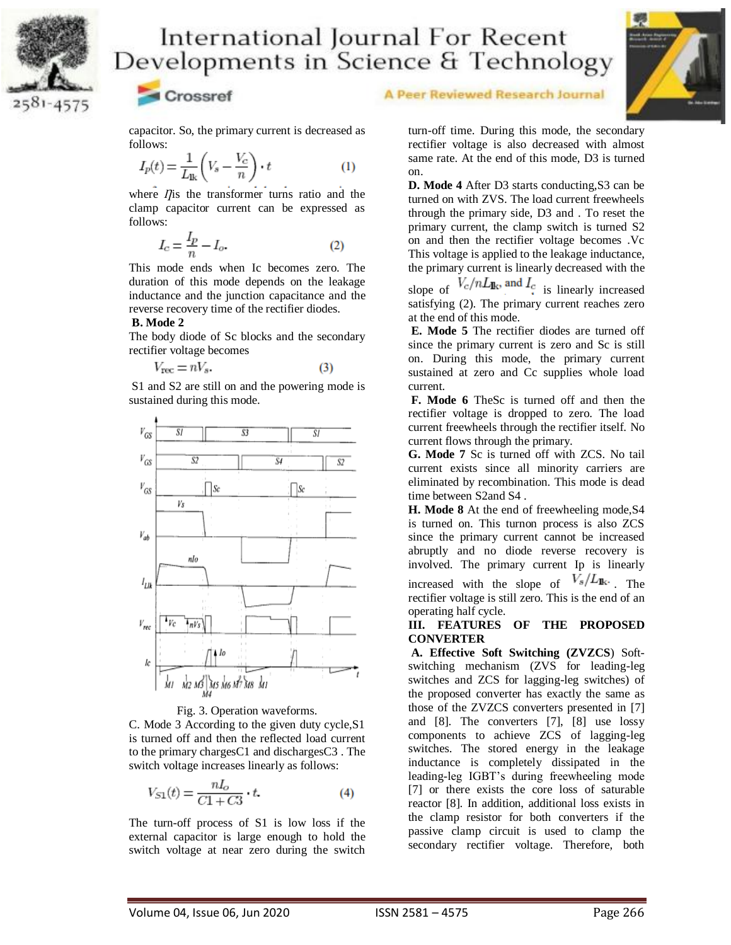



Crossref

capacitor. So, the primary current is decreased as follows:

$$
I_p(t) = \frac{1}{L_{\text{Bc}}} \left( V_s - \frac{V_c}{n} \right) \cdot t \tag{1}
$$

where *Ij*is the transformer turns ratio and the clamp capacitor current can be expressed as follows:

$$
I_c = \frac{I_p}{n} - I_o.
$$
 (2)

This mode ends when Ic becomes zero. The duration of this mode depends on the leakage inductance and the junction capacitance and the reverse recovery time of the rectifier diodes.

#### **B. Mode 2**

The body diode of Sc blocks and the secondary rectifier voltage becomes

$$
V_{\text{rec}} = nV_s. \tag{3}
$$

S1 and S2 are still on and the powering mode is sustained during this mode.





C. Mode 3 According to the given duty cycle,S1 is turned off and then the reflected load current to the primary chargesC1 and dischargesC3 . The switch voltage increases linearly as follows:

$$
V_{S1}(t) = \frac{nI_o}{C1 + C3} \cdot t. \tag{4}
$$

The turn-off process of S1 is low loss if the external capacitor is large enough to hold the switch voltage at near zero during the switch

### **A Peer Reviewed Research Journal**

turn-off time. During this mode, the secondary rectifier voltage is also decreased with almost same rate. At the end of this mode, D3 is turned on.

**D. Mode 4** After D3 starts conducting,S3 can be turned on with ZVS. The load current freewheels through the primary side, D3 and . To reset the primary current, the clamp switch is turned S2 on and then the rectifier voltage becomes .Vc This voltage is applied to the leakage inductance, the primary current is linearly decreased with the

slope of  $V_c/nL_{\text{IIc}}$ , and  $I_c$  is linearly increased satisfying (2). The primary current reaches zero at the end of this mode.

**E. Mode 5** The rectifier diodes are turned off since the primary current is zero and Sc is still on. During this mode, the primary current sustained at zero and Cc supplies whole load current.

**F. Mode 6** TheSc is turned off and then the rectifier voltage is dropped to zero. The load current freewheels through the rectifier itself. No current flows through the primary.

**G. Mode 7** Sc is turned off with ZCS. No tail current exists since all minority carriers are eliminated by recombination. This mode is dead time between S2and S4 .

**H. Mode 8** At the end of freewheeling mode,S4 is turned on. This turnon process is also ZCS since the primary current cannot be increased abruptly and no diode reverse recovery is involved. The primary current Ip is linearly increased with the slope of  $V_s/L_{\rm I\!R}$ . The rectifier voltage is still zero. This is the end of an operating half cycle.

#### **III. FEATURES OF THE PROPOSED CONVERTER**

**A. Effective Soft Switching (ZVZCS**) Softswitching mechanism (ZVS for leading-leg switches and ZCS for lagging-leg switches) of the proposed converter has exactly the same as those of the ZVZCS converters presented in [7] and [8]. The converters [7], [8] use lossy components to achieve ZCS of lagging-leg switches. The stored energy in the leakage inductance is completely dissipated in the leading-leg IGBT's during freewheeling mode [7] or there exists the core loss of saturable reactor [8]. In addition, additional loss exists in the clamp resistor for both converters if the passive clamp circuit is used to clamp the secondary rectifier voltage. Therefore, both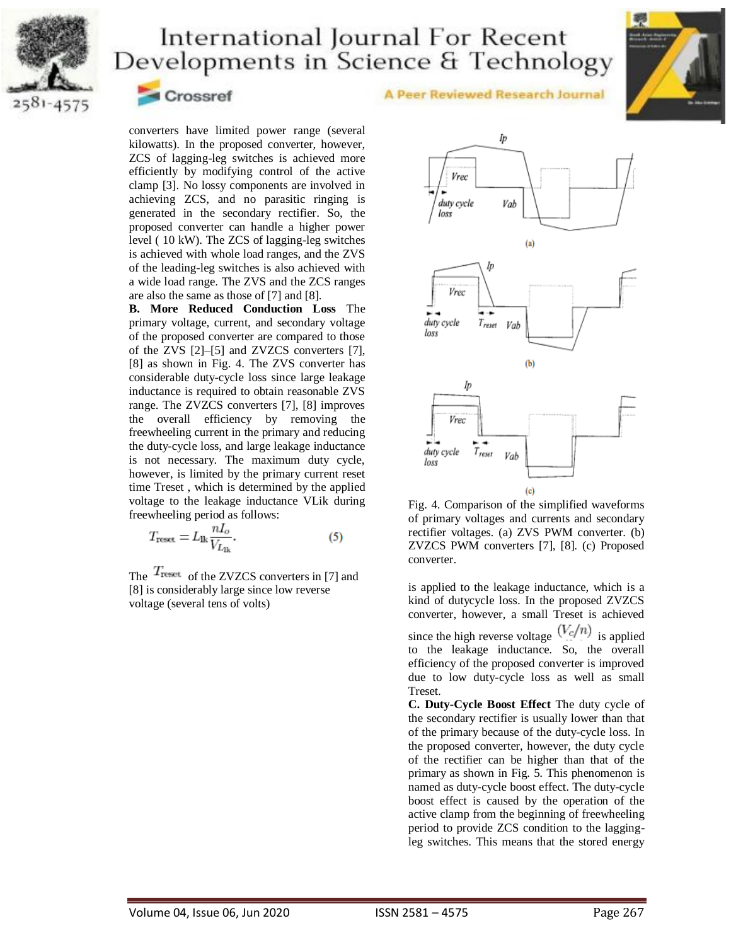





2581-4575

converters have limited power range (several kilowatts). In the proposed converter, however, ZCS of lagging-leg switches is achieved more efficiently by modifying control of the active clamp [3]. No lossy components are involved in achieving ZCS, and no parasitic ringing is generated in the secondary rectifier. So, the proposed converter can handle a higher power level ( 10 kW). The ZCS of lagging-leg switches is achieved with whole load ranges, and the ZVS of the leading-leg switches is also achieved with a wide load range. The ZVS and the ZCS ranges are also the same as those of [7] and [8].

**B. More Reduced Conduction Loss** The primary voltage, current, and secondary voltage of the proposed converter are compared to those of the ZVS [2]–[5] and ZVZCS converters [7], [8] as shown in Fig. 4. The ZVS converter has considerable duty-cycle loss since large leakage inductance is required to obtain reasonable ZVS range. The ZVZCS converters [7], [8] improves the overall efficiency by removing the freewheeling current in the primary and reducing the duty-cycle loss, and large leakage inductance is not necessary. The maximum duty cycle, however, is limited by the primary current reset time Treset , which is determined by the applied voltage to the leakage inductance VLik during freewheeling period as follows:

$$
T_{\text{reset}} = L_{\text{lk}} \frac{nI_o}{V_{L_{\text{lk}}}}.\tag{5}
$$

The  $T_{\text{reset}}$  of the ZVZCS converters in [7] and [8] is considerably large since low reverse voltage (several tens of volts)

**A Peer Reviewed Research Journal** 



Fig. 4. Comparison of the simplified waveforms of primary voltages and currents and secondary rectifier voltages. (a) ZVS PWM converter. (b) ZVZCS PWM converters [7], [8]. (c) Proposed converter.

is applied to the leakage inductance, which is a kind of dutycycle loss. In the proposed ZVZCS converter, however, a small Treset is achieved since the high reverse voltage  $(V_c/n)$  is applied to the leakage inductance. So, the overall efficiency of the proposed converter is improved due to low duty-cycle loss as well as small Treset.

**C. Duty-Cycle Boost Effect** The duty cycle of the secondary rectifier is usually lower than that of the primary because of the duty-cycle loss. In the proposed converter, however, the duty cycle of the rectifier can be higher than that of the primary as shown in Fig. 5. This phenomenon is named as duty-cycle boost effect. The duty-cycle boost effect is caused by the operation of the active clamp from the beginning of freewheeling period to provide ZCS condition to the laggingleg switches. This means that the stored energy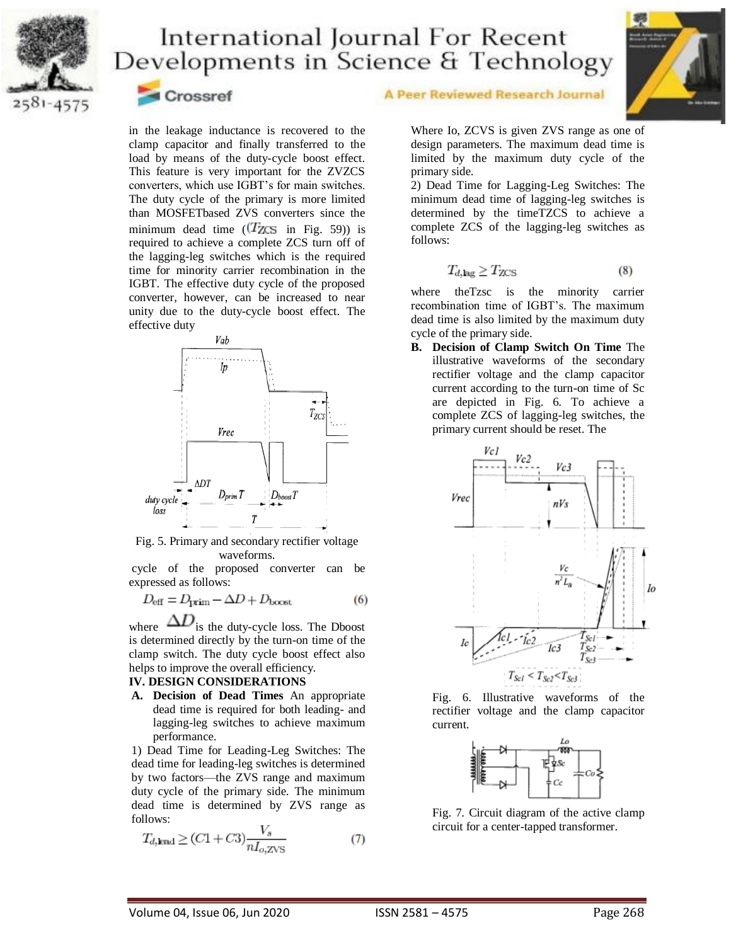



Crossref

in the leakage inductance is recovered to the clamp capacitor and finally transferred to the load by means of the duty-cycle boost effect. This feature is very important for the ZVZCS converters, which use IGBT's for main switches. The duty cycle of the primary is more limited than MOSFETbased ZVS converters since the minimum dead time  $(TZCS)$  in Fig. 59)) is required to achieve a complete ZCS turn off of the lagging-leg switches which is the required time for minority carrier recombination in the IGBT. The effective duty cycle of the proposed converter, however, can be increased to near unity due to the duty-cycle boost effect. The effective duty





cycle of the proposed converter can be expressed as follows:

$$
D_{\text{eff}} = D_{\text{prim}} - \Delta D + D_{\text{boost}} \tag{6}
$$

where  $\Delta D$  is the duty-cycle loss. The Dboost is determined directly by the turn-on time of the clamp switch. The duty cycle boost effect also helps to improve the overall efficiency.

### **IV. DESIGN CONSIDERATIONS**

**A. Decision of Dead Times** An appropriate dead time is required for both leading- and lagging-leg switches to achieve maximum performance.

1) Dead Time for Leading-Leg Switches: The dead time for leading-leg switches is determined by two factors—the ZVS range and maximum duty cycle of the primary side. The minimum dead time is determined by ZVS range as follows:

$$
T_{d,\text{lead}} \ge (C1 + C3) \frac{V_s}{n I_{o,\text{ZVS}}} \tag{7}
$$

### **A Peer Reviewed Research Journal**

Where Io, ZCVS is given ZVS range as one of design parameters. The maximum dead time is limited by the maximum duty cycle of the primary side.

2) Dead Time for Lagging-Leg Switches: The minimum dead time of lagging-leg switches is determined by the timeTZCS to achieve a complete ZCS of the lagging-leg switches as follows:

$$
T_{d,\mathrm{lag}} \ge T_{\mathrm{ZCS}}\tag{8}
$$

where theTzsc is the minority carrier recombination time of IGBT's. The maximum dead time is also limited by the maximum duty cycle of the primary side.

**B. Decision of Clamp Switch On Time** The illustrative waveforms of the secondary rectifier voltage and the clamp capacitor current according to the turn-on time of Sc are depicted in Fig. 6. To achieve a complete ZCS of lagging-leg switches, the primary current should be reset. The



Fig. 6. Illustrative waveforms of the rectifier voltage and the clamp capacitor current.



Fig. 7. Circuit diagram of the active clamp circuit for a center-tapped transformer.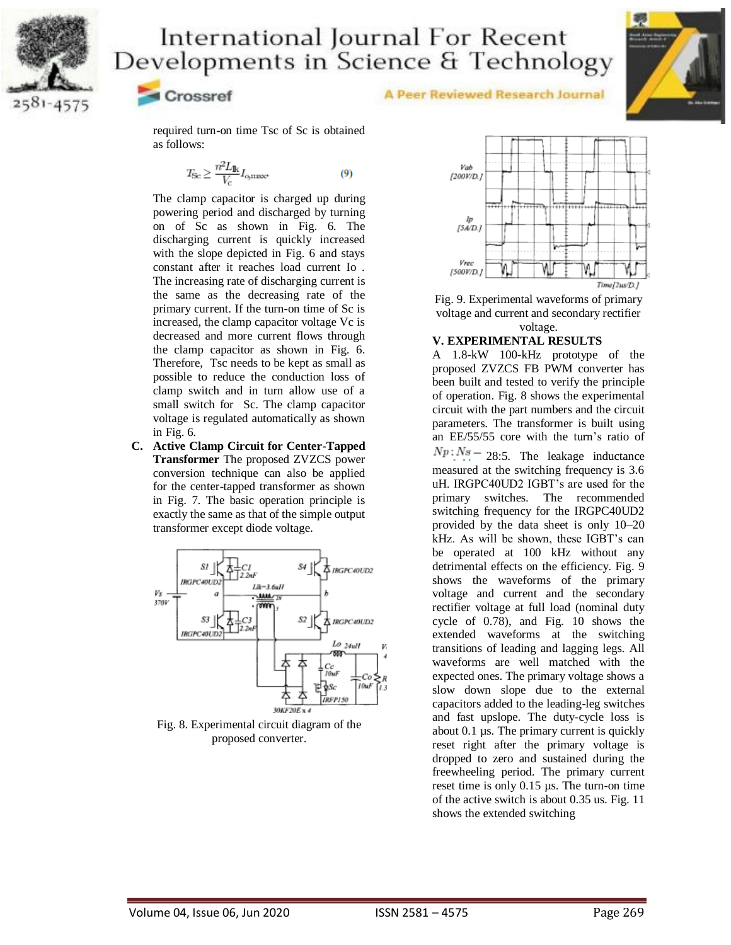



A Peer Reviewed Research Journal



required turn-on time Tsc of Sc is obtained as follows:

$$
T_{\rm Sc} \ge \frac{n^2 L_{\rm IR}}{V_c} I_{\rm o, \rm max}.\tag{9}
$$

The clamp capacitor is charged up during powering period and discharged by turning on of Sc as shown in Fig. 6. The discharging current is quickly increased with the slope depicted in Fig. 6 and stays constant after it reaches load current Io . The increasing rate of discharging current is the same as the decreasing rate of the primary current. If the turn-on time of Sc is increased, the clamp capacitor voltage Vc is decreased and more current flows through the clamp capacitor as shown in Fig. 6. Therefore, Tsc needs to be kept as small as possible to reduce the conduction loss of clamp switch and in turn allow use of a small switch for Sc. The clamp capacitor voltage is regulated automatically as shown in Fig. 6.

**C. Active Clamp Circuit for Center-Tapped Transformer** The proposed ZVZCS power conversion technique can also be applied for the center-tapped transformer as shown in Fig. 7. The basic operation principle is exactly the same as that of the simple output transformer except diode voltage.



Fig. 8. Experimental circuit diagram of the proposed converter.





Fig. 9. Experimental waveforms of primary voltage and current and secondary rectifier voltage.

### **V. EXPERIMENTAL RESULTS**

A 1.8-kW 100-kHz prototype of the proposed ZVZCS FB PWM converter has been built and tested to verify the principle of operation. Fig. 8 shows the experimental circuit with the part numbers and the circuit parameters. The transformer is built using an EE/55/55 core with the turn's ratio of  $Np$ :  $Ns - 28$ :5. The leakage inductance measured at the switching frequency is 3.6 uH. IRGPC40UD2 IGBT's are used for the primary switches. The recommended switching frequency for the IRGPC40UD2 provided by the data sheet is only 10–20 kHz. As will be shown, these IGBT's can be operated at 100 kHz without any detrimental effects on the efficiency. Fig. 9 shows the waveforms of the primary voltage and current and the secondary rectifier voltage at full load (nominal duty cycle of 0.78), and Fig. 10 shows the extended waveforms at the switching transitions of leading and lagging legs. All waveforms are well matched with the expected ones. The primary voltage shows a slow down slope due to the external capacitors added to the leading-leg switches and fast upslope. The duty-cycle loss is about 0.1 µs. The primary current is quickly reset right after the primary voltage is dropped to zero and sustained during the freewheeling period. The primary current reset time is only 0.15 µs. The turn-on time of the active switch is about 0.35 us. Fig. 11 shows the extended switching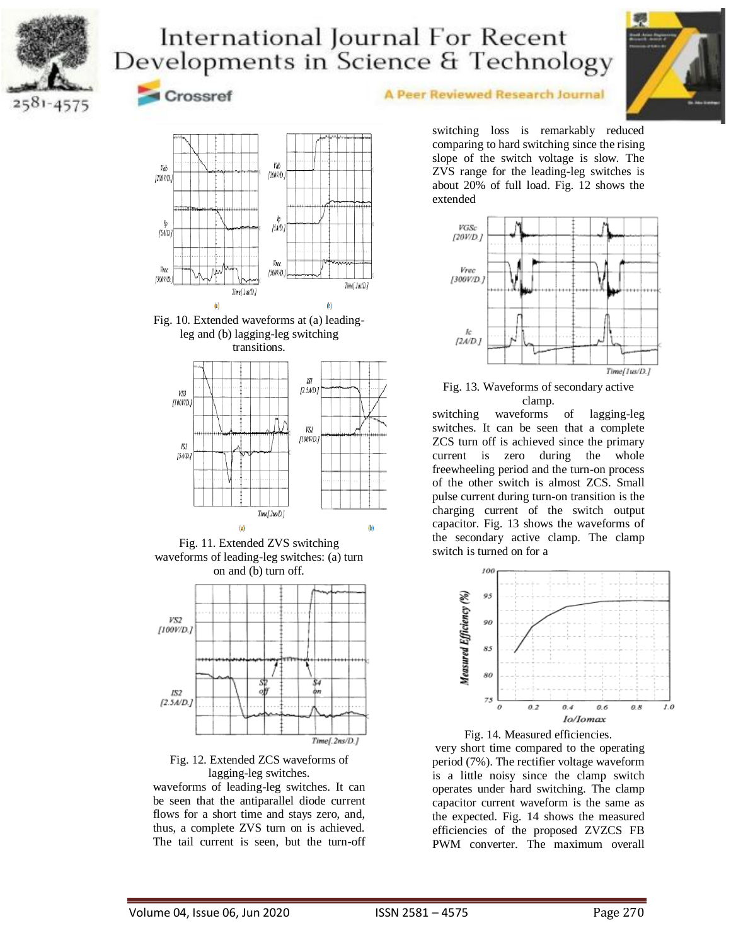



Crossref











### Fig. 12. Extended ZCS waveforms of lagging-leg switches.

waveforms of leading-leg switches. It can be seen that the antiparallel diode current flows for a short time and stays zero, and, thus, a complete ZVS turn on is achieved. The tail current is seen, but the turn-off **A Peer Reviewed Research Journal** 

switching loss is remarkably reduced comparing to hard switching since the rising slope of the switch voltage is slow. The ZVS range for the leading-leg switches is about 20% of full load. Fig. 12 shows the extended



Fig. 13. Waveforms of secondary active clamp.

switching waveforms of lagging-leg switches. It can be seen that a complete ZCS turn off is achieved since the primary current is zero during the whole freewheeling period and the turn-on process of the other switch is almost ZCS. Small pulse current during turn-on transition is the charging current of the switch output capacitor. Fig. 13 shows the waveforms of the secondary active clamp. The clamp switch is turned on for a



Fig. 14. Measured efficiencies.

very short time compared to the operating period (7%). The rectifier voltage waveform is a little noisy since the clamp switch operates under hard switching. The clamp capacitor current waveform is the same as the expected. Fig. 14 shows the measured efficiencies of the proposed ZVZCS FB PWM converter. The maximum overall